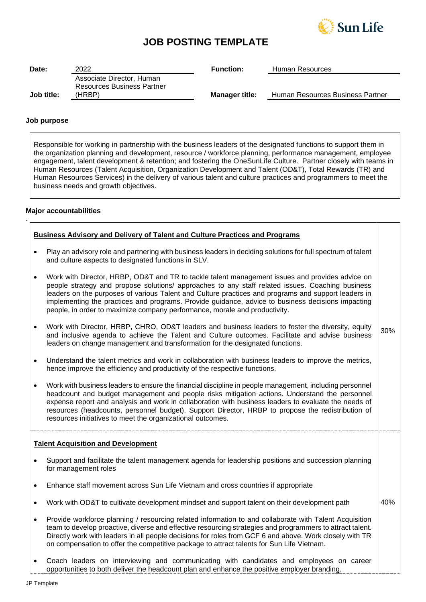

## **JOB POSTING TEMPLATE**

| Date:      | 2022                                                           | <b>Function:</b>      | Human Resources                  |
|------------|----------------------------------------------------------------|-----------------------|----------------------------------|
|            | Associate Director, Human<br><b>Resources Business Partner</b> |                       |                                  |
| Job title: | (HRBP)                                                         | <b>Manager title:</b> | Human Resources Business Partner |

#### **Job purpose**

Responsible for working in partnership with the business leaders of the designated functions to support them in the organization planning and development, resource / workforce planning, performance management, employee engagement, talent development & retention; and fostering the OneSunLife Culture. Partner closely with teams in Human Resources (Talent Acquisition, Organization Development and Talent (OD&T), Total Rewards (TR) and Human Resources Services) in the delivery of various talent and culture practices and programmers to meet the business needs and growth objectives.

#### **Major accountabilities**

*.*

| <b>Business Advisory and Delivery of Talent and Culture Practices and Programs</b> |                                                                                                                                                                                                                                                                                                                                                                                                                                                                                               |     |
|------------------------------------------------------------------------------------|-----------------------------------------------------------------------------------------------------------------------------------------------------------------------------------------------------------------------------------------------------------------------------------------------------------------------------------------------------------------------------------------------------------------------------------------------------------------------------------------------|-----|
| $\bullet$                                                                          | Play an advisory role and partnering with business leaders in deciding solutions for full spectrum of talent<br>and culture aspects to designated functions in SLV.                                                                                                                                                                                                                                                                                                                           |     |
|                                                                                    | Work with Director, HRBP, OD&T and TR to tackle talent management issues and provides advice on<br>people strategy and propose solutions/ approaches to any staff related issues. Coaching business<br>leaders on the purposes of various Talent and Culture practices and programs and support leaders in<br>implementing the practices and programs. Provide guidance, advice to business decisions impacting<br>people, in order to maximize company performance, morale and productivity. |     |
| $\bullet$                                                                          | Work with Director, HRBP, CHRO, OD&T leaders and business leaders to foster the diversity, equity<br>and inclusive agenda to achieve the Talent and Culture outcomes. Facilitate and advise business<br>leaders on change management and transformation for the designated functions.                                                                                                                                                                                                         | 30% |
| $\bullet$                                                                          | Understand the talent metrics and work in collaboration with business leaders to improve the metrics,<br>hence improve the efficiency and productivity of the respective functions.                                                                                                                                                                                                                                                                                                           |     |
|                                                                                    | Work with business leaders to ensure the financial discipline in people management, including personnel<br>headcount and budget management and people risks mitigation actions. Understand the personnel<br>expense report and analysis and work in collaboration with business leaders to evaluate the needs of<br>resources (headcounts, personnel budget). Support Director, HRBP to propose the redistribution of<br>resources initiatives to meet the organizational outcomes.           |     |
|                                                                                    | <b>Talent Acquisition and Development</b>                                                                                                                                                                                                                                                                                                                                                                                                                                                     |     |
|                                                                                    | Support and facilitate the talent management agenda for leadership positions and succession planning<br>for management roles                                                                                                                                                                                                                                                                                                                                                                  |     |
| $\bullet$                                                                          | Enhance staff movement across Sun Life Vietnam and cross countries if appropriate                                                                                                                                                                                                                                                                                                                                                                                                             |     |
| $\bullet$                                                                          | Work with OD&T to cultivate development mindset and support talent on their development path                                                                                                                                                                                                                                                                                                                                                                                                  | 40% |
| $\bullet$                                                                          | Provide workforce planning / resourcing related information to and collaborate with Talent Acquisition<br>team to develop proactive, diverse and effective resourcing strategies and programmers to attract talent.<br>Directly work with leaders in all people decisions for roles from GCF 6 and above. Work closely with TR<br>on compensation to offer the competitive package to attract talents for Sun Life Vietnam.                                                                   |     |
|                                                                                    | Coach leaders on interviewing and communicating with candidates and employees on career                                                                                                                                                                                                                                                                                                                                                                                                       |     |

opportunities to both deliver the headcount plan and enhance the positive employer branding.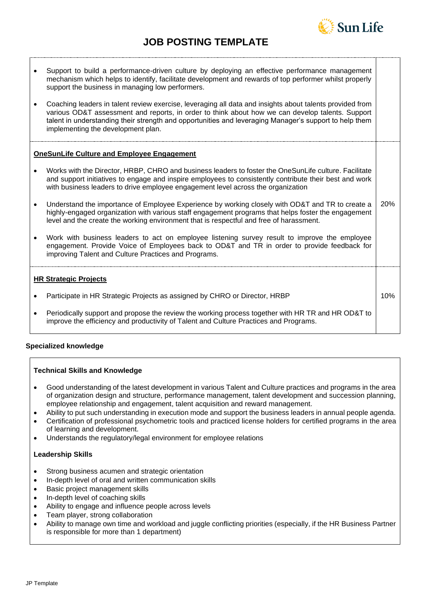# **JOB POSTING TEMPLATE**



| Support to build a performance-driven culture by deploying an effective performance management<br>mechanism which helps to identify, facilitate development and rewards of top performer whilst properly<br>support the business in managing low performers.<br>Coaching leaders in talent review exercise, leveraging all data and insights about talents provided from<br>various OD&T assessment and reports, in order to think about how we can develop talents. Support<br>talent in understanding their strength and opportunities and leveraging Manager's support to help them<br>implementing the development plan. |            |
|------------------------------------------------------------------------------------------------------------------------------------------------------------------------------------------------------------------------------------------------------------------------------------------------------------------------------------------------------------------------------------------------------------------------------------------------------------------------------------------------------------------------------------------------------------------------------------------------------------------------------|------------|
| <b>OneSunLife Culture and Employee Engagement</b>                                                                                                                                                                                                                                                                                                                                                                                                                                                                                                                                                                            |            |
| Works with the Director, HRBP, CHRO and business leaders to foster the OneSunLife culture. Facilitate<br>and support initiatives to engage and inspire employees to consistently contribute their best and work<br>with business leaders to drive employee engagement level across the organization                                                                                                                                                                                                                                                                                                                          |            |
| Understand the importance of Employee Experience by working closely with OD&T and TR to create a<br>highly-engaged organization with various staff engagement programs that helps foster the engagement<br>level and the create the working environment that is respectful and free of harassment.                                                                                                                                                                                                                                                                                                                           | <b>20%</b> |
| Work with business leaders to act on employee listening survey result to improve the employee<br>engagement. Provide Voice of Employees back to OD&T and TR in order to provide feedback for<br>improving Talent and Culture Practices and Programs.                                                                                                                                                                                                                                                                                                                                                                         |            |
| <b>HR Strategic Projects</b>                                                                                                                                                                                                                                                                                                                                                                                                                                                                                                                                                                                                 |            |
| Participate in HR Strategic Projects as assigned by CHRO or Director, HRBP                                                                                                                                                                                                                                                                                                                                                                                                                                                                                                                                                   | 10%        |
| Periodically support and propose the review the working process together with HR TR and HR OD&T to<br>improve the efficiency and productivity of Talent and Culture Practices and Programs.                                                                                                                                                                                                                                                                                                                                                                                                                                  |            |

## **Specialized knowledge**

## **Technical Skills and Knowledge**

- Good understanding of the latest development in various Talent and Culture practices and programs in the area of organization design and structure, performance management, talent development and succession planning, employee relationship and engagement, talent acquisition and reward management.
- Ability to put such understanding in execution mode and support the business leaders in annual people agenda.
- Certification of professional psychometric tools and practiced license holders for certified programs in the area of learning and development.
- Understands the regulatory/legal environment for employee relations

## **Leadership Skills**

- Strong business acumen and strategic orientation
- In-depth level of oral and written communication skills
- Basic project management skills
- In-depth level of coaching skills
- Ability to engage and influence people across levels
- Team player, strong collaboration
- Ability to manage own time and workload and juggle conflicting priorities (especially, if the HR Business Partner is responsible for more than 1 department)